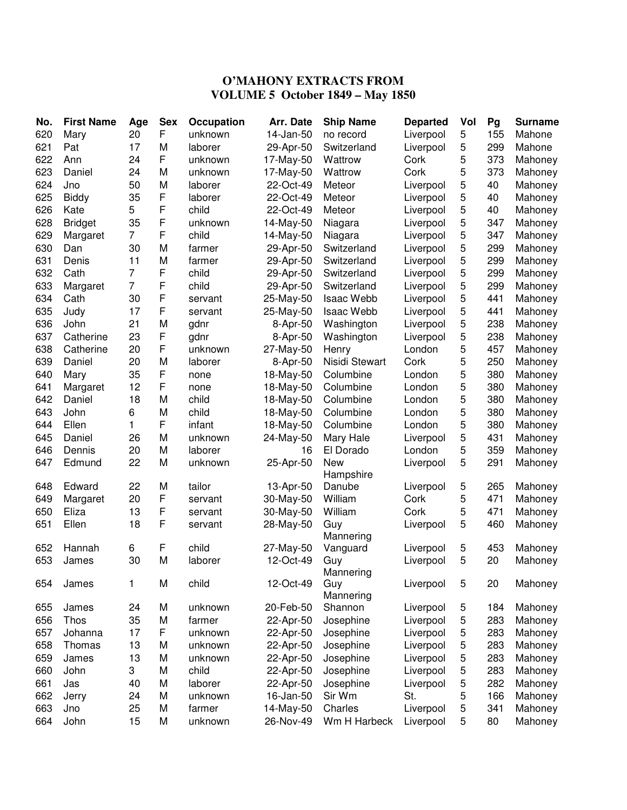## **O'MAHONY EXTRACTS FROM VOLUME 5 October 1849 – May 1850**

| No. | <b>First Name</b> | Age            | <b>Sex</b> | Occupation | Arr. Date | <b>Ship Name</b> | <b>Departed</b> | Vol         | Pg  | <b>Surname</b> |
|-----|-------------------|----------------|------------|------------|-----------|------------------|-----------------|-------------|-----|----------------|
| 620 | Mary              | 20             | F          | unknown    | 14-Jan-50 | no record        | Liverpool       | 5           | 155 | Mahone         |
| 621 | Pat               | 17             | M          | laborer    | 29-Apr-50 | Switzerland      | Liverpool       | 5           | 299 | Mahone         |
| 622 | Ann               | 24             | F          | unknown    | 17-May-50 | Wattrow          | Cork            | 5           | 373 | Mahoney        |
| 623 | Daniel            | 24             | M          | unknown    | 17-May-50 | Wattrow          | Cork            | 5           | 373 | Mahoney        |
| 624 | Jno               | 50             | M          | laborer    | 22-Oct-49 | Meteor           | Liverpool       | 5           | 40  | Mahoney        |
| 625 | <b>Biddy</b>      | 35             | F          | laborer    | 22-Oct-49 | Meteor           | Liverpool       | 5           | 40  | Mahoney        |
| 626 | Kate              | 5              | F          | child      | 22-Oct-49 | Meteor           | Liverpool       | 5           | 40  | Mahoney        |
| 628 | <b>Bridget</b>    | 35             | F          | unknown    | 14-May-50 | Niagara          | Liverpool       | 5           | 347 | Mahoney        |
| 629 | Margaret          | $\overline{7}$ | F          | child      | 14-May-50 | Niagara          | Liverpool       | 5           | 347 | Mahoney        |
| 630 | Dan               | 30             | M          | farmer     | 29-Apr-50 | Switzerland      | Liverpool       | 5           | 299 | Mahoney        |
| 631 | Denis             | 11             | M          | farmer     | 29-Apr-50 | Switzerland      | Liverpool       | 5           | 299 | Mahoney        |
| 632 | Cath              | $\overline{7}$ | F          | child      | 29-Apr-50 | Switzerland      | Liverpool       | 5           | 299 | Mahoney        |
| 633 | Margaret          | $\overline{7}$ | F          | child      | 29-Apr-50 | Switzerland      | Liverpool       | 5           | 299 | Mahoney        |
| 634 | Cath              | 30             | F          | servant    | 25-May-50 | Isaac Webb       | Liverpool       | $\mathbf 5$ | 441 | Mahoney        |
| 635 | Judy              | 17             | F          | servant    | 25-May-50 | Isaac Webb       | Liverpool       | 5           | 441 | Mahoney        |
| 636 | John              | 21             | M          | gdnr       | 8-Apr-50  | Washington       | Liverpool       | 5           | 238 | Mahoney        |
| 637 | Catherine         | 23             | F          | gdnr       | 8-Apr-50  | Washington       | Liverpool       | 5           | 238 | Mahoney        |
| 638 | Catherine         | 20             | F          | unknown    | 27-May-50 | Henry            | London          | 5           | 457 | Mahoney        |
| 639 | Daniel            | 20             | M          | laborer    | 8-Apr-50  | Nisidi Stewart   | Cork            | 5           | 250 | Mahoney        |
| 640 | Mary              | 35             | F          | none       | 18-May-50 | Columbine        | London          | 5           | 380 | Mahoney        |
| 641 | Margaret          | 12             | F          | none       | 18-May-50 | Columbine        | London          | 5           | 380 | Mahoney        |
| 642 | Daniel            | 18             | M          | child      | 18-May-50 | Columbine        | London          | 5           | 380 | Mahoney        |
| 643 | John              | 6              | M          | child      | 18-May-50 | Columbine        | London          | 5           | 380 | Mahoney        |
| 644 | Ellen             | 1              | F          | infant     | 18-May-50 | Columbine        | London          | 5           | 380 | Mahoney        |
| 645 | Daniel            | 26             | M          | unknown    | 24-May-50 | Mary Hale        | Liverpool       | 5           | 431 | Mahoney        |
| 646 | Dennis            | 20             | M          | laborer    | 16        | El Dorado        | London          | 5           | 359 | Mahoney        |
| 647 | Edmund            | 22             | M          | unknown    | 25-Apr-50 | New              | Liverpool       | 5           | 291 | Mahoney        |
|     |                   |                |            |            |           | Hampshire        |                 |             |     |                |
| 648 | Edward            | 22             | M          | tailor     | 13-Apr-50 | Danube           | Liverpool       | 5           | 265 | Mahoney        |
| 649 | Margaret          | 20             | F          | servant    | 30-May-50 | William          | Cork            | 5           | 471 | Mahoney        |
| 650 | Eliza             | 13             | F          | servant    | 30-May-50 | William          | Cork            | 5           | 471 | Mahoney        |
| 651 | Ellen             | 18             | F          | servant    | 28-May-50 | Guy              | Liverpool       | 5           | 460 | Mahoney        |
|     |                   |                |            |            |           | Mannering        |                 |             |     |                |
| 652 | Hannah            | 6              | F          | child      | 27-May-50 | Vanguard         | Liverpool       | 5           | 453 | Mahoney        |
| 653 | James             | 30             | M          | laborer    | 12-Oct-49 | Guy              | Liverpool       | 5           | 20  | Mahoney        |
|     |                   |                |            |            |           | Mannering        |                 |             |     |                |
| 654 | James             | 1              | М          | child      | 12-Oct-49 | Guy              | Liverpool       | 5           | 20  | Mahoney        |
|     |                   |                |            |            |           | Mannering        |                 |             |     |                |
| 655 | James             | 24             | M          | unknown    | 20-Feb-50 | Shannon          | Liverpool       | 5           | 184 | Mahoney        |
| 656 | Thos              | 35             | М          | farmer     | 22-Apr-50 | Josephine        | Liverpool       | 5           | 283 | Mahoney        |
| 657 | Johanna           | 17             | F          | unknown    | 22-Apr-50 | Josephine        | Liverpool       | 5           | 283 | Mahoney        |
| 658 | Thomas            | 13             | Μ          | unknown    | 22-Apr-50 | Josephine        | Liverpool       | 5           | 283 | Mahoney        |
| 659 | James             | 13             | M          | unknown    | 22-Apr-50 | Josephine        | Liverpool       | 5           | 283 | Mahoney        |
| 660 | John              | 3              | M          | child      | 22-Apr-50 | Josephine        | Liverpool       | 5           | 283 | Mahoney        |
| 661 | Jas               | 40             | M          | laborer    | 22-Apr-50 | Josephine        | Liverpool       | 5           | 282 | Mahoney        |
| 662 | Jerry             | 24             | M          | unknown    | 16-Jan-50 | Sir Wm           | St.             | 5           | 166 | Mahoney        |
| 663 | Jno               | 25             | M          | farmer     | 14-May-50 | Charles          | Liverpool       | 5           | 341 | Mahoney        |
| 664 | John              | 15             | M          | unknown    | 26-Nov-49 | Wm H Harbeck     | Liverpool       | 5           | 80  | Mahoney        |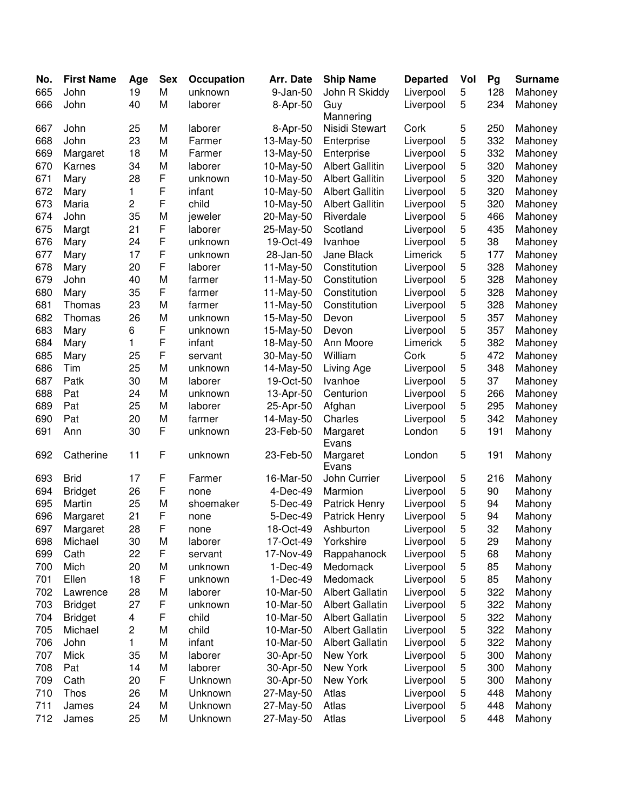| No. | <b>First Name</b> | Age    | <b>Sex</b> | Occupation | Arr. Date  | <b>Ship Name</b>       | <b>Departed</b> | Vol | Pg  | <b>Surname</b> |
|-----|-------------------|--------|------------|------------|------------|------------------------|-----------------|-----|-----|----------------|
| 665 | John              | 19     | M          | unknown    | 9-Jan-50   | John R Skiddy          | Liverpool       | 5   | 128 | Mahoney        |
| 666 | John              | 40     | M          | laborer    | 8-Apr-50   | Guy<br>Mannering       | Liverpool       | 5   | 234 | Mahoney        |
| 667 | John              | 25     | M          | laborer    | 8-Apr-50   | Nisidi Stewart         | Cork            | 5   | 250 | Mahoney        |
| 668 | John              | 23     | M          | Farmer     | 13-May-50  | Enterprise             | Liverpool       | 5   | 332 | Mahoney        |
| 669 | Margaret          | 18     | M          | Farmer     | 13-May-50  | Enterprise             | Liverpool       | 5   | 332 | Mahoney        |
| 670 | Karnes            | 34     | M          | laborer    | 10-May-50  | <b>Albert Gallitin</b> | Liverpool       | 5   | 320 | Mahoney        |
| 671 | Mary              | 28     | F          | unknown    | 10-May-50  | <b>Albert Gallitin</b> | Liverpool       | 5   | 320 | Mahoney        |
| 672 | Mary              | 1      | F          | infant     | 10-May-50  | <b>Albert Gallitin</b> | Liverpool       | 5   | 320 | Mahoney        |
| 673 | Maria             | 2      | F          | child      | 10-May-50  | <b>Albert Gallitin</b> | Liverpool       | 5   | 320 | Mahoney        |
| 674 | John              | 35     | M          | jeweler    | 20-May-50  | Riverdale              | Liverpool       | 5   | 466 | Mahoney        |
| 675 | Margt             | 21     | F          | laborer    | 25-May-50  | Scotland               | Liverpool       | 5   | 435 | Mahoney        |
| 676 | Mary              | 24     | F          | unknown    | 19-Oct-49  | Ivanhoe                | Liverpool       | 5   | 38  | Mahoney        |
| 677 | Mary              | 17     | F          | unknown    | 28-Jan-50  | Jane Black             | Limerick        | 5   | 177 | Mahoney        |
| 678 | Mary              | 20     | F          | laborer    | 11-May-50  | Constitution           | Liverpool       | 5   | 328 | Mahoney        |
| 679 | John              | 40     | M          | farmer     | 11-May-50  | Constitution           | Liverpool       | 5   | 328 | Mahoney        |
| 680 | Mary              | 35     | F          | farmer     | 11-May-50  | Constitution           | Liverpool       | 5   | 328 | Mahoney        |
| 681 | Thomas            | 23     | M          | farmer     | 11-May-50  | Constitution           | Liverpool       | 5   | 328 | Mahoney        |
| 682 | Thomas            | 26     | M          |            | 15-May-50  |                        |                 | 5   | 357 |                |
| 683 |                   |        | F          | unknown    |            | Devon<br>Devon         | Liverpool       |     | 357 | Mahoney        |
|     | Mary              | 6<br>1 | F          | unknown    | 15-May-50  |                        | Liverpool       | 5   |     | Mahoney        |
| 684 | Mary              |        | F          | infant     | 18-May-50  | Ann Moore              | Limerick        | 5   | 382 | Mahoney        |
| 685 | Mary              | 25     |            | servant    | 30-May-50  | William                | Cork            | 5   | 472 | Mahoney        |
| 686 | Tim               | 25     | M          | unknown    | 14-May-50  | Living Age             | Liverpool       | 5   | 348 | Mahoney        |
| 687 | Patk              | 30     | M          | laborer    | 19-Oct-50  | Ivanhoe                | Liverpool       | 5   | 37  | Mahoney        |
| 688 | Pat               | 24     | M          | unknown    | 13-Apr-50  | Centurion              | Liverpool       | 5   | 266 | Mahoney        |
| 689 | Pat               | 25     | M          | laborer    | 25-Apr-50  | Afghan                 | Liverpool       | 5   | 295 | Mahoney        |
| 690 | Pat               | 20     | M          | farmer     | 14-May-50  | Charles                | Liverpool       | 5   | 342 | Mahoney        |
| 691 | Ann               | 30     | F          | unknown    | 23-Feb-50  | Margaret<br>Evans      | London          | 5   | 191 | Mahony         |
| 692 | Catherine         | 11     | F          | unknown    | 23-Feb-50  | Margaret<br>Evans      | London          | 5   | 191 | Mahony         |
| 693 | <b>Brid</b>       | 17     | F          | Farmer     | 16-Mar-50  | John Currier           | Liverpool       | 5   | 216 | Mahony         |
| 694 | <b>Bridget</b>    | 26     | F          | none       | 4-Dec-49   | Marmion                | Liverpool       | 5   | 90  | Mahony         |
| 695 | Martin            | 25     | M          | shoemaker  | 5-Dec-49   | <b>Patrick Henry</b>   | Liverpool       | 5   | 94  | Mahony         |
| 696 | Margaret          | 21     | F          | none       | 5-Dec-49   | <b>Patrick Henry</b>   | Liverpool       | 5   | 94  | Mahony         |
| 697 | Margaret          | 28     | F          | none       | 18-Oct-49  | Ashburton              | Liverpool       | 5   | 32  | Mahony         |
| 698 | Michael           | 30     | M          | laborer    | 17-Oct-49  | Yorkshire              | Liverpool       | 5   | 29  | Mahony         |
| 699 | Cath              | 22     | F          | servant    | 17-Nov-49  | Rappahanock            | Liverpool       | 5   | 68  | Mahony         |
| 700 | Mich              | 20     | M          | unknown    | $1-Dec-49$ | Medomack               | Liverpool       | 5   | 85  | Mahony         |
| 701 | Ellen             | 18     | F          | unknown    | 1-Dec-49   | Medomack               | Liverpool       | 5   | 85  | Mahony         |
| 702 | Lawrence          | 28     | M          | laborer    | 10-Mar-50  | <b>Albert Gallatin</b> | Liverpool       | 5   | 322 | Mahony         |
| 703 | <b>Bridget</b>    | 27     | F          | unknown    | 10-Mar-50  | <b>Albert Gallatin</b> | Liverpool       | 5   | 322 | Mahony         |
| 704 | <b>Bridget</b>    | 4      | F          | child      | 10-Mar-50  | <b>Albert Gallatin</b> | Liverpool       | 5   | 322 | Mahony         |
| 705 | Michael           | 2      | M          | child      | 10-Mar-50  | <b>Albert Gallatin</b> | Liverpool       | 5   | 322 | Mahony         |
| 706 | John              | 1      | M          | infant     | 10-Mar-50  | <b>Albert Gallatin</b> | Liverpool       | 5   | 322 | Mahony         |
| 707 | Mick              | 35     | M          | laborer    | 30-Apr-50  | New York               | Liverpool       | 5   | 300 | Mahony         |
| 708 | Pat               | 14     | M          | laborer    | 30-Apr-50  | New York               | Liverpool       | 5   | 300 | Mahony         |
| 709 | Cath              | 20     | F          | Unknown    | 30-Apr-50  | New York               | Liverpool       | 5   | 300 | Mahony         |
| 710 | Thos              | 26     | M          | Unknown    | 27-May-50  | Atlas                  | Liverpool       | 5   | 448 | Mahony         |
| 711 | James             | 24     | M          | Unknown    | 27-May-50  | Atlas                  | Liverpool       | 5   | 448 | Mahony         |
| 712 | James             | 25     | M          | Unknown    | 27-May-50  | Atlas                  | Liverpool       | 5   | 448 | Mahony         |